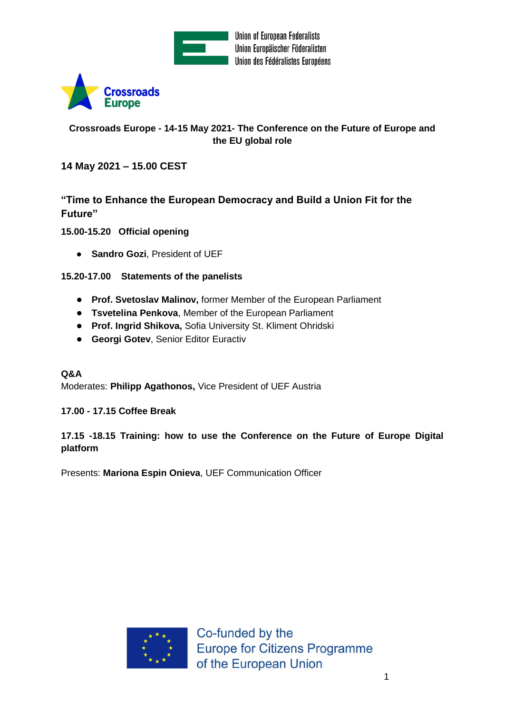

**Union of European Federalists** Union Europäischer Föderalisten Union des Fédéralistes Européens



# **Crossroads Europe - 14-15 May 2021- The Conference on the Future of Europe and the EU global role**

## **14 May 2021 – 15.00 CEST**

**"Time to Enhance the European Democracy and Build a Union Fit for the Future"**

**15.00-15.20 Official opening**

● **Sandro Gozi**, President of UEF

## **15.20-17.00 Statements of the panelists**

- **Prof. Svetoslav Malinov,** former Member of the European Parliament
- **Tsvetelina Penkova**, Member of the European Parliament
- **Prof. Ingrid Shikova,** Sofia University St. Kliment Ohridski
- **Georgi Gotev**, Senior Editor Euractiv

#### **Q&A**

Moderates: **Philipp Agathonos,** Vice President of UEF Austria

#### **17.00 - 17.15 Coffee Break**

## **17.15 -18.15 Training: how to use the Conference on the Future of Europe Digital platform**

Presents: **Mariona Espin Onieva**, UEF Communication Officer